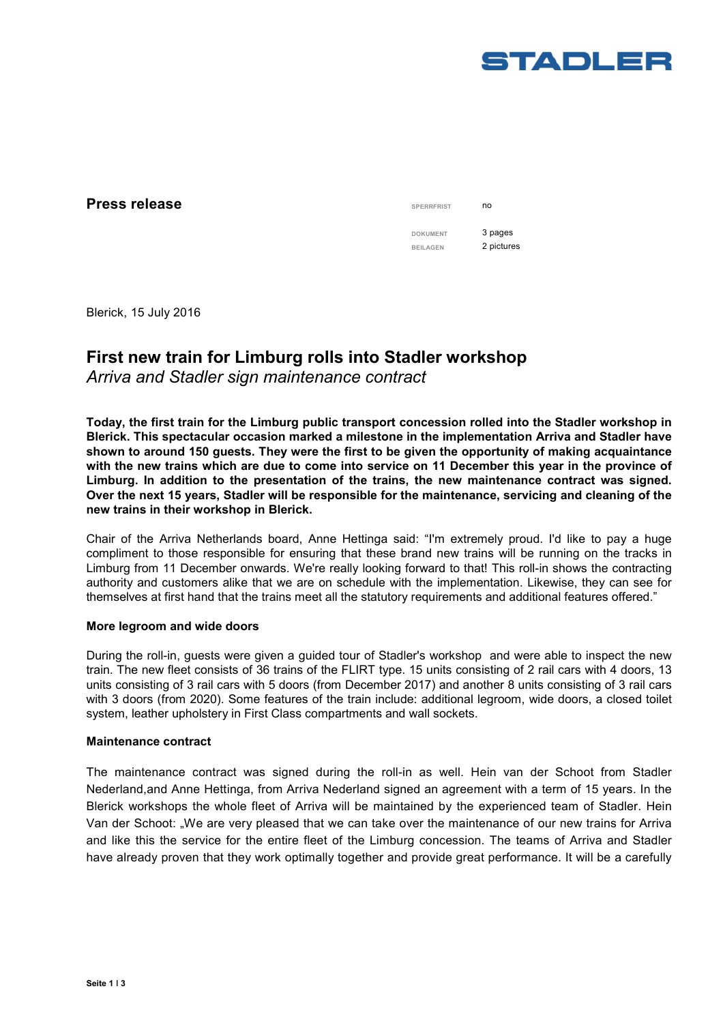

## **Press release**

| <b>SPERRFRIST</b> | no         |
|-------------------|------------|
| <b>DOKUMENT</b>   | 3 pages    |
| <b>BEILAGEN</b>   | 2 pictures |
|                   |            |

Blerick, 15 July 2016

# **First new train for Limburg rolls into Stadler workshop**

*Arriva and Stadler sign maintenance contract* 

**Today, the first train for the Limburg public transport concession rolled into the Stadler workshop in Blerick. This spectacular occasion marked a milestone in the implementation Arriva and Stadler have shown to around 150 guests. They were the first to be given the opportunity of making acquaintance with the new trains which are due to come into service on 11 December this year in the province of Limburg. In addition to the presentation of the trains, the new maintenance contract was signed. Over the next 15 years, Stadler will be responsible for the maintenance, servicing and cleaning of the new trains in their workshop in Blerick.** 

Chair of the Arriva Netherlands board, Anne Hettinga said: "I'm extremely proud. I'd like to pay a huge compliment to those responsible for ensuring that these brand new trains will be running on the tracks in Limburg from 11 December onwards. We're really looking forward to that! This roll-in shows the contracting authority and customers alike that we are on schedule with the implementation. Likewise, they can see for themselves at first hand that the trains meet all the statutory requirements and additional features offered."

### **More legroom and wide doors**

During the roll-in, guests were given a guided tour of Stadler's workshop and were able to inspect the new train. The new fleet consists of 36 trains of the FLIRT type. 15 units consisting of 2 rail cars with 4 doors, 13 units consisting of 3 rail cars with 5 doors (from December 2017) and another 8 units consisting of 3 rail cars with 3 doors (from 2020). Some features of the train include: additional legroom, wide doors, a closed toilet system, leather upholstery in First Class compartments and wall sockets.

#### **Maintenance contract**

The maintenance contract was signed during the roll-in as well. Hein van der Schoot from Stadler Nederland,and Anne Hettinga, from Arriva Nederland signed an agreement with a term of 15 years. In the Blerick workshops the whole fleet of Arriva will be maintained by the experienced team of Stadler. Hein Van der Schoot: "We are very pleased that we can take over the maintenance of our new trains for Arriva and like this the service for the entire fleet of the Limburg concession. The teams of Arriva and Stadler have already proven that they work optimally together and provide great performance. It will be a carefully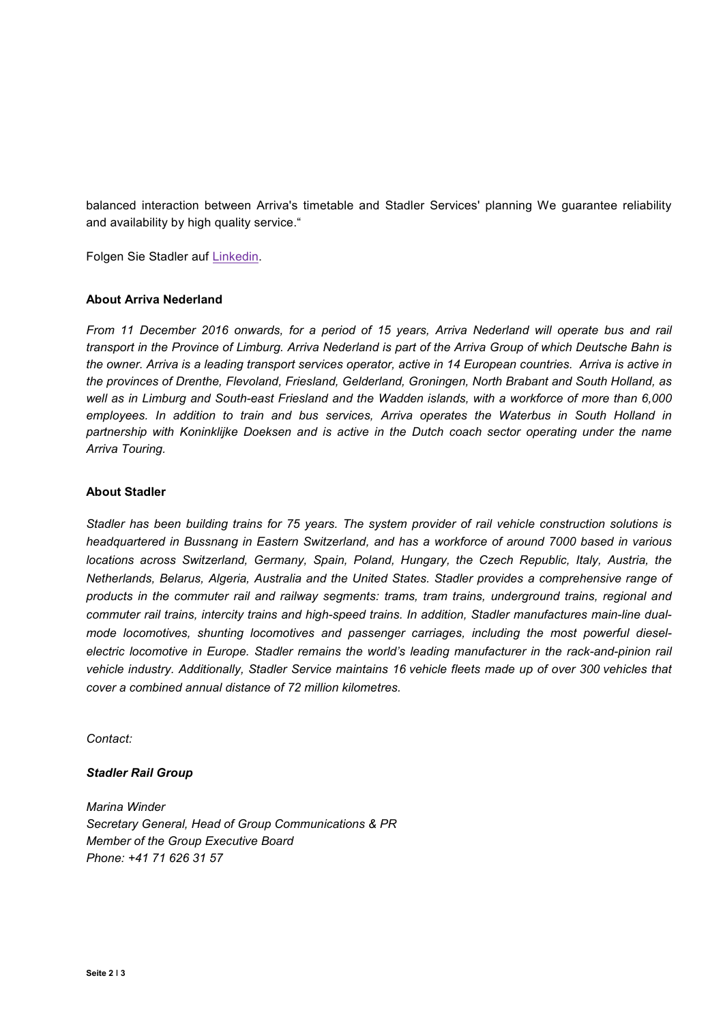balanced interaction between Arriva's timetable and Stadler Services' planning We guarantee reliability and availability by high quality service."

Folgen Sie Stadler auf Linkedin.

#### **About Arriva Nederland**

*From 11 December 2016 onwards, for a period of 15 years, Arriva Nederland will operate bus and rail transport in the Province of Limburg. Arriva Nederland is part of the Arriva Group of which Deutsche Bahn is the owner. Arriva is a leading transport services operator, active in 14 European countries. Arriva is active in the provinces of Drenthe, Flevoland, Friesland, Gelderland, Groningen, North Brabant and South Holland, as well as in Limburg and South-east Friesland and the Wadden islands, with a workforce of more than 6,000 employees. In addition to train and bus services, Arriva operates the Waterbus in South Holland in partnership with Koninklijke Doeksen and is active in the Dutch coach sector operating under the name Arriva Touring.* 

#### **About Stadler**

*Stadler has been building trains for 75 years. The system provider of rail vehicle construction solutions is headquartered in Bussnang in Eastern Switzerland, and has a workforce of around 7000 based in various locations across Switzerland, Germany, Spain, Poland, Hungary, the Czech Republic, Italy, Austria, the Netherlands, Belarus, Algeria, Australia and the United States. Stadler provides a comprehensive range of products in the commuter rail and railway segments: trams, tram trains, underground trains, regional and commuter rail trains, intercity trains and high-speed trains. In addition, Stadler manufactures main-line dualmode locomotives, shunting locomotives and passenger carriages, including the most powerful dieselelectric locomotive in Europe. Stadler remains the world's leading manufacturer in the rack-and-pinion rail vehicle industry. Additionally, Stadler Service maintains 16 vehicle fleets made up of over 300 vehicles that cover a combined annual distance of 72 million kilometres.* 

*Contact:* 

#### *Stadler Rail Group*

*Marina Winder Secretary General, Head of Group Communications & PR Member of the Group Executive Board Phone: +41 71 626 31 57*